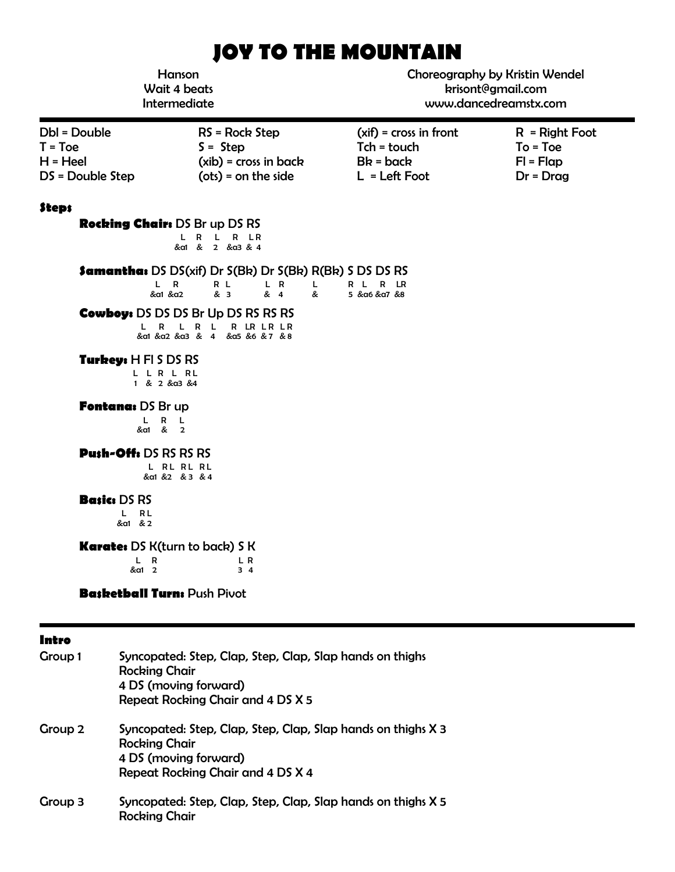# **JOY TO THE MOUNTAIN**

| Hanson<br>Wait 4 beats<br>Intermediate                      |                                                                                                                                                                            | Choreography by Kristin Wendel<br>krisont@gmail.com<br>www.dancedreamstx.com |                                                              |
|-------------------------------------------------------------|----------------------------------------------------------------------------------------------------------------------------------------------------------------------------|------------------------------------------------------------------------------|--------------------------------------------------------------|
| Dbl = Double<br>$T = Toe$<br>$H = Heel$<br>DS = Double Step | $RS = Rock Step$<br>$S =$ Step<br>$(xib)$ = cross in back<br>$(ots) = on the side$                                                                                         | $(xif) = cross in front$<br>$Tch = touch$<br>$Bk = back$<br>$L = Left Foot$  | $R = Right Foot$<br>$To = Toe$<br>$FI = Flap$<br>$Dr = Drag$ |
| <b>Steps</b><br><b>Rocking Chair: DS Br up DS RS</b>        | L R L R LR<br>&a1 & 2 &a3 & 4                                                                                                                                              |                                                                              |                                                              |
| L R<br>&α1 &α2<br>L R                                       | <b>Samantha:</b> DS DS(xif) Dr S(Bk) Dr S(Bk) R(Bk) S DS DS RS<br>R L<br>L R<br>L.<br>& 3<br>& 4<br>œ.<br><b>Cowboy:</b> DS DS DS Br Up DS RS RS RS<br>R L R LR LR LR<br>L | RL RLR<br>5 & α6 & α7 & 8                                                    |                                                              |
| Turkey: H FI S DS RS<br>LLRLRL<br>1 & 2 & a3 & 4            | &a1 &a2 &a3 & 4 &a5 &6 & 7 & 8                                                                                                                                             |                                                                              |                                                              |
| Fontana: DS Br up<br>L R L<br>&a1 & 2                       |                                                                                                                                                                            |                                                                              |                                                              |
| <b>Push-Offs DS RS RS RS</b>                                | L RL RL RL<br>&a1 &2 &3 &4                                                                                                                                                 |                                                                              |                                                              |
| <b>Basics DS RS</b><br>L RL<br>&a1 & 2                      |                                                                                                                                                                            |                                                                              |                                                              |
| <b>Karate:</b> DS K(turn to back) S K<br>L R<br>&a1 2       | L R<br>34                                                                                                                                                                  |                                                                              |                                                              |
| <b>Basketball Turn: Push Pivot</b>                          |                                                                                                                                                                            |                                                                              |                                                              |

| I<br>×<br>۰. |
|--------------|
|--------------|

| Group 1 | Syncopated: Step, Clap, Step, Clap, Slap hands on thighs<br><b>Rocking Chair</b><br>4 DS (moving forward)<br>Repeat Rocking Chair and 4 DS X 5     |
|---------|----------------------------------------------------------------------------------------------------------------------------------------------------|
| Group 2 | Syncopated: Step, Clap, Step, Clap, Slap hands on thighs X 3<br><b>Rocking Chair</b><br>4 DS (moving forward)<br>Repeat Rocking Chair and 4 DS X 4 |
| Group 3 | Syncopated: Step, Clap, Step, Clap, Slap hands on thighs X 5<br><b>Rocking Chair</b>                                                               |